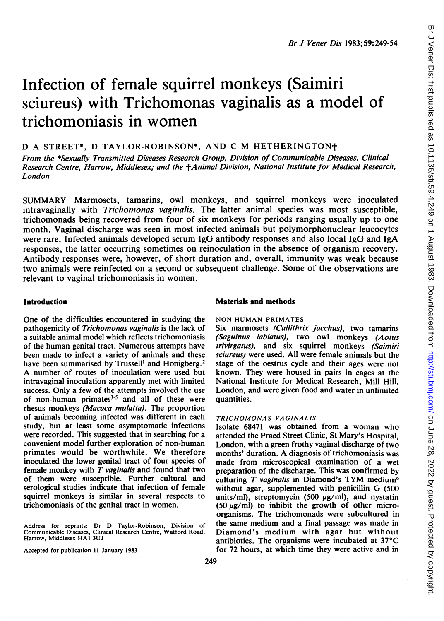## Infection of female squirrel monkeys (Saimiri sciureus) with Trichomonas vaginalis as a model of trichomoniasis in women

## D A STREET\*, D TAYLOR-ROBINSON\*, AND C M HETHERINGTONt

From the \*Sexually Transmitted Diseases Research Group, Division of Communicable Diseases, Clinical Research Centre, Harrow, Middlesex; and the +Animal Division, National Institute for Medical Research. London

SUMMARY Marmosets, tamarins, owl monkeys, and squirrel monkeys were inoculated intravaginally with *Trichomonas vaginalis*. The latter animal species was most susceptible, trichomonads being recovered from four of six monkeys for periods ranging usually up to one month. Vaginal discharge was seen in most infected animals but polymorphonuclear leucocytes were rare. Infected animals developed serum IgG antibody responses and also local IgG and IgA responses, the latter occurring sometimes on reinoculation in the absence of organism recovery. Antibody responses were, however, of short duration and, overall, immunity was weak because two animals were reinfected on a second or subsequent challenge. Some of the observations are relevant to vaginal trichomoniasis in women.

One of the difficulties encountered in studying the pathogenicity of Trichomonas vaginalis is the lack of a suitable animal model which reflects trichomoniasis of the human genital tract. Numerous attempts have been made to infect a variety of animals and these have been summarised by Trussell<sup>1</sup> and Honigberg.<sup>2</sup> A number of routes of inoculation were used but intravaginal inoculation apparently met with limited success. Only a few of the attempts involved the use of non-human primates $3-5$  and all of these were rhesus monkeys (Macaca mulatta). The proportion of animals becoming infected was different in each study, but at least some asymptomatic infections were recorded. This suggested that in searching for a convenient model further exploration of non-human primates would be worthwhile. We therefore inoculated the lower genital tract of four species of female monkey with  $T$  vaginalis and found that two of them were susceptible. Further cultural and serological studies indicate that infection of female squirrel monkeys is similar in several respects to trichomoniasis of the genital tract in women.

Address for reprints: Dr D Taylor-Robinson, Division of Communicable Diseases, Clinical Research Centre, Watford Road, Harrow, Middlesex HAI 3UJ

Accepted for publication 11 January 1983

#### Introduction Materials and methods

#### NON-HUMAN PRIMATES

Six marmosets (Callithrix jacchus), two tamarins (Saguinus labiatus), two owl monkeys (Aotus trivirgatus), and six squirrel monkeys (Saimiri sciureus) were used. All were female animals but the stage of the oestrus cycle and their ages were not known. They were housed in pairs in cages at the National Institute for Medical Research, Mill Hill, London, and were given food and water in unlimited quantities.

#### TRICHOMONAS VAGINALIS

Isolate 68471 was obtained from a woman who attended the Praed Street Clinic, St Mary's Hospital, London, with a green frothy vaginal discharge of two months' duration. A diagnosis of trichomoniasis was made from microscopical examination of a wet preparation of the discharge. This was confirmed by culturing  $T$  vaginalis in Diamond's TYM medium<sup>6</sup> without agar, supplemented with penicillin G (500 units/ml), streptomycin (500  $\mu$ g/ml), and nystatin (50  $\mu$ g/ml) to inhibit the growth of other microorganisms. The trichomonads were subcultured in the same medium and a final passage was made in Diamond's medium with agar but without antibiotics. The organisms were incubated at  $37^{\circ}$ C for 72 hours, at which time they were active and in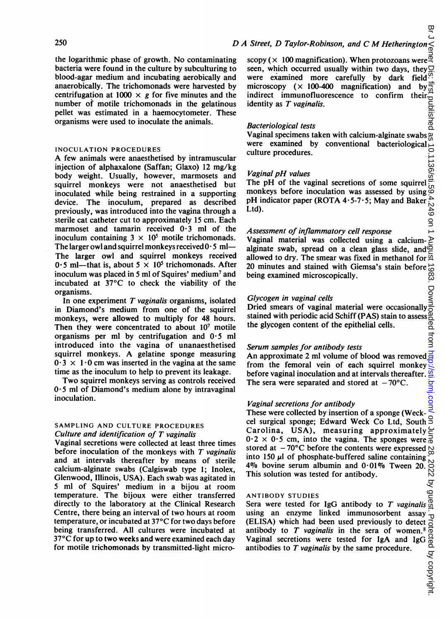the logarithmic phase of growth. No contaminating bacteria were found in the culture by subculturing to blood-agar medium and incubating aerobically and anaerobically. The trichomonads were harvested by centrifugation at 1000  $\times$  g for five minutes and the number of motile trichomonads in the gelatinous pellet was estimated in a haemocytometer. These organisms were used to inoculate the animals.

#### INOCULATION PROCEDURES

A few animals were anaesthetised by intramuscular injection of alphaxalone (Saffan; Glaxo) 12 mg/kg body weight. Usually, however, marmosets and squirrel monkeys were not anaesthetised but inoculated while being restrained in a supporting device. The inoculum, prepared as described previously, was introduced into the vagina through a sterile cat catheter cut to approximately 15 cm. Each marmoset and tamarin received 0-3 ml of the inoculum containing  $3 \times 10^5$  motile trichomonads. The larger owl and squirrel monkeys received  $0.5$  ml-The larger owl and squirrel monkeys received 0.5 ml—that is, about  $5 \times 10^5$  trichomonads. After inoculum was placed in 5 ml of Squires' medium<sup>7</sup> and incubated at 37°C to check the viability of the organisms.

In one experiment  $T$  vaginalis organisms, isolated in Diamond's medium from one of the squirrel monkeys, were allowed to multiply for 48 hours. Then they were concentrated to about  $10<sup>7</sup>$  motile organisms per ml by centrifugation and  $0.5$  ml introduced into the vagina of unanaesthetised squirrel monkeys. A gelatine sponge measuring  $0.3 \times 1.0$  cm was inserted in the vagina at the same time as the inoculum to help to prevent its leakage.

Two squirrel monkeys serving as controls received  $0.5$  ml of Diamond's medium alone by intravaginal inoculation.

#### SAMPLING AND CULTURE PROCEDURES Culture and identification of T vaginalis

Vaginal secretions were collected at least three times before inoculation of the monkeys with  $T$  vaginalis and at intervals thereafter by means of sterile calcium-alginate swabs (Calgiswab type 1; Inolex, Glenwood, Illinois, USA). Each swab was agitated in 5 ml of Squires' medium in a bijou at room temperature. The bijoux were either transferred directly to the laboratory at the Clinical Research Centre, there being an interval of two hours at room temperature, or incubated at 37°C for two days before being transferred. All cultures were incubated at 37°C for up to two weeks and were examined each day for motile trichomonads by transmitted-light micro-

# په<br>L<br>D A Street, D Taylor-Robinson, and C M Hetherington <

#### Bacteriological tests

Vaginal specimens taken with calcium-alginate swabs were examined by conventional bacteriological  $\frac{1}{2}$ <br>culture procedures.<br>Vaginal pH values<br> $\frac{1}{2}$ <br> $\frac{1}{2}$ <br> $\frac{1}{2}$ <br> $\frac{1}{2}$ <br> $\frac{1}{2}$ <br> $\frac{1}{2}$ <br> $\frac{1}{2}$ <br> $\frac{1}{2}$ <br> $\frac{1}{2}$ <br> $\frac{1}{2}$ <br> $\frac{1}{2}$ <br> $\frac{1}{2}$ <br> $\frac{1}{2$ culture procedures.

#### Vaginal pH values

The pH of the vaginal secretions of some squirrel  $\ddot{\mathbf{a}}$  monkeys before inoculation was assessed by using  $\ddot{\mathbf{a}}$ monkeys before inoculation was assessed by using pH indicator paper (ROTA 4.5-7.5; May and Baker  $\frac{1}{10}$ <br>Ltd).<br>Assessment of inflammatory cell response Ltd).

#### Assessment of inflammatory cell response

Þ Vaginal material was collected using a calciumalginate swab, spread on a clean glass slide, and  $\overline{Q}$ allowed to dry. The smear was fixed in methanol for  $\frac{a}{4}$ 20 minutes and stained with Giemsa's stain before  $\frac{1}{2}$ being examined microscopically.

#### Glycogen in vaginal cells

being examined microscopically.<br>
Glycogen in vaginal cells<br>
Dried smears of vaginal material were occasionally<br>
stained with periodic acid Schiff (PAS) stain to assessed<br>
the glycogen content of the epithelial cells.<br>
Seru stained with periodic acid Schiff (PAS) stain to assess the glycogen content of the epithelial cells.

#### Serum samples for antibody tests

 $\frac{A}{2}$ <br>An approximate 2 ml volume of blood was removed  $\frac{A}{2}$ <br>from the femoral vein of each squirrel monkey. from the femoral vein of each squirrel monkey before vaginal inoculation and at intervals thereafter. The sera were separated and stored at  $-70^{\circ}$ C.

#### Vaginal secretions for antibody

These were collected by insertion of a sponge (Weckcel surgical sponge; Edward Weck Co Ltd, South Carolina, USA), measuring approximately $\subsetneq$  $0.2 \times 0.5$  cm, into the vagina. The sponges were  $\frac{3}{6}$ stored at  $-70^{\circ}$ C before the contents were expressed  $\infty$  into 150 µl of phosphate-buffered saline containing. into 150  $\mu$  of phosphate-buffered saline containing 4% bovine serum albumin and 0.01% Tween 20. This solution was tested for antibody. on Jener Dis: Irist published as 10.1136/sti.59.4.249 on 1 August 1983. Downloaded from Artp://sti.bmj.com/ Br Zb, 2022. Dy guest. Protected by copyright.

#### ANTIBODY STUDIES

Sera were tested for IgG antibody to  $T$  vaginalis using an enzyme linked immunosorbent assay ิง (ELISA) which had been used previously to detect of<br>antibody to T vaginalis in the sera of women.<sup>8</sup> do<br>Vaginal secretions were tested for IgA and IgG of<br>antibodies to T vaginalis by the same procedure.<br>Series antibodies antibody to  $T$  vaginalis in the sera of women.<sup>8</sup> Vaginal secretions were tested for IgA and IgG antibodies to  $T$  vaginalis by the same procedure.

.<br>8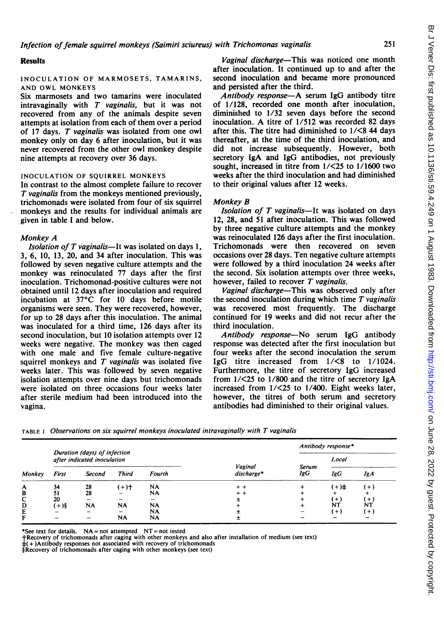#### **Results**

#### INOCULATION OF MARMOSETS, TAMARINS, AND OWL MONKEYS

Six marmosets and two tamarins were inoculated intravaginally with  $T$  vaginalis, but it was not recovered from any of the animals despite seven attempts at isolation from each of them over a period of <sup>17</sup> days. T vaginalis was isolated from one owl monkey only on day 6 after inoculation, but it was never recovered from the other owl monkey despite nine attempts at recovery over 36 days.

#### INOCULATION OF SQUIRREL MONKEYS

In contrast to the almost complete failure to recover T vaginalis from the monkeys mentioned previously, trichomonads were isolated from four of six squirrel monkeys and the results for individual animals are given in table <sup>I</sup> and below.

#### Monkey A

*Isolation of T vaginalis*—It was isolated on days  $1$ , 3, 6, 10, 13, 20, and 34 after inoculation. This was followed by seven negative culture attempts and the monkey was reinoculated 77 days after the first inoculation. Trichomonad-positive cultures were not obtained until 12 days after inoculation and required incubation at 37°C for 10 days before motile organisms were seen. They were recovered, however, for up to 28 days after this inoculation. The animal was inoculated for a third time, 126 days after its second inoculation, but 10 isolation attempts over 12 weeks were negative. The monkey was then caged with one male and five female culture-negative squirrel monkeys and  $T$  vaginalis was isolated five weeks later. This was followed by seven negative isolation attempts over nine days but trichomonads were isolated on three occasions four weeks later after sterile medium had been introduced into the vagina.

Vaginal discharge—This was noticed one month after inoculation. It continued up to and after the second inoculation and became more pronounced and persisted after the third.

Antibody response-A serum IgG antibody titre of 1/128, recorded one month after inoculation, diminished to 1/32 seven days before the second inoculation. A titre of 1/512 was recorded <sup>82</sup> days after this. The titre had diminished to 1/<8 44 days thereafter, at the time of the third inoculation, and did not increase subsequently. However, both secretory IgA and IgG antibodies, not previously sought, increased in titre from 1/<25 to 1/1600 two weeks after the third inoculation and had diminished to their original values after 12 weeks.

#### Monkey B

Isolation of  $T$  vaginalis-It was isolated on days 12, 28, and 51 after inoculation. This was followed by three negative culture attempts and the monkey was reinoculated 126 days after the first inoculation. Trichomonads were then recovered on seven occasions over 28 days. Ten negative culture attempts were followed by a third inoculation 24 weeks after the second. Six isolation attempts over three weeks, however, failed to recover  $T$  vaginalis.

Vaginal discharge-This was observed only after the second inoculation during which time  $T$  vaginalis was recovered most frequently. The discharge continued for 19 weeks and did not recur after the third inoculation.

Antibody response-No serum IgG antibody response was detected after the first inoculation but four weeks after the second inoculation the serum IgG titre increased from 1/<8 to 1/1024. Furthermore, the titre of secretory IgG increased from 1/<25 to 1/800 and the titre of secretory IgA increased from 1/<25 to 1/400. Eight weeks later, however, the titres of both serum and secretory antibodies had diminished to their original values.

|        |                                                             |           |              |           |                       |              | Antibody response* |          |  |  |
|--------|-------------------------------------------------------------|-----------|--------------|-----------|-----------------------|--------------|--------------------|----------|--|--|
|        | Duration (days) of infection<br>after indicated inoculation |           |              |           |                       |              | Local              |          |  |  |
| Monkey | First                                                       | Second    | <b>Third</b> | Fourth    | Vaginal<br>discharge* | Serum<br>IgG | IgG                | IgA      |  |  |
| A      | 34                                                          | 28        | $(+)$        | <b>NA</b> | $+ +$                 | ÷            | (+)‡               | $^{(+)}$ |  |  |
| в      |                                                             | 28        |              | NA        | $+ +$                 |              |                    |          |  |  |
| с      | 20                                                          |           |              |           |                       |              | $(+)$              | (+)      |  |  |
| D      | $(+)$ §                                                     | <b>NA</b> | <b>NA</b>    | <b>NA</b> |                       |              | NT                 | NT       |  |  |
| E      |                                                             |           |              | NA        |                       |              | $(+)$              | $^{(+)}$ |  |  |
| F      |                                                             |           | <b>NA</b>    | <b>NA</b> |                       |              |                    |          |  |  |

TABLE <sup>I</sup> Observations on six squirrel monkeys inoculated intravaginally with T vaginalis

\*See text for details.  $NA = not$  attempted  $NT = not$  tested

tRecovery of trichomonads after caging with other monkeys and also after installation of medium (see text)

 $(+)$ Antibody responses not associated with recovery of trichomonads

§Recovery of trichomonads after caging with other monkeys (see text)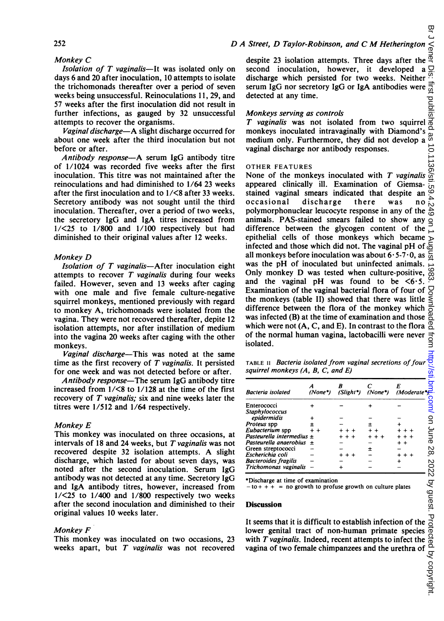### $D$  A Street,  $D$  Taylor-Robinson, and  $C$  M Hetherington

252

### Monkey C

Isolation of  $T$  vaginalis—It was isolated only on days 6 and 20 after inoculation, 10 attempts to isolate the trichomonads thereafter over a period of seven weeks being unsuccessful. Reinoculations 11, 29, and 57 weeks after the first inoculation did not result in further infections, as gauged by 32 unsuccessful attempts to recover the organisms.

Vaginal discharge-A slight discharge occurred for about one week after the third inoculation but not before or after.

Antibody response-A serum IgG antibody titre of 1/1024 was recorded five weeks after the first inoculation. This titre was not maintained after the reinoculations and had diminished to 1/64 23 weeks after the first inoculation and to 1/<8 after 33 weeks. Secretory antibody was not sought until the third inoculation. Thereafter, over a period of two weeks, the secretory IgG and IgA titres increased from  $1/\leq 25$  to  $1/800$  and  $1/100$  respectively but had diminished to their original values after 12 weeks.

#### Monkey D

Isolation of  $T$  vaginalis-After inoculation eight attempts to recover  $T$  vaginalis during four weeks failed. However, seven and 13 weeks after caging with one male and five female culture-negative squirrel monkeys, mentioned previously with regard to monkey A, trichomonads were isolated from the vagina. They were not recovered thereafter, depite 12 isolation attempts, nor after instillation of medium into the vagina 20 weeks after caging with the other monkeys.

Vaginal discharge-This was noted at the same time as the first recovery of  $T$  vaginalis. It persisted for one week and was not detected before or after.

Antibody response-The serum IgG antibody titre increased from 1/<8 to 1/128 at the time of the first recovery of  $T$  vaginalis; six and nine weeks later the titres were 1/512 and 1/64 respectively.

#### Monkey E

This monkey was inoculated on three occasions, at intervals of 18 and 24 weeks, but  $T$  vaginalis was not recovered despite <sup>32</sup> isolation attempts. A slight discharge, which lasted for about seven days, was noted after the second inoculation. Serum IgG antibody was not detected at any time. Secretory IgG and IgA antibody titres, however, increased from  $1/\leq 25$  to  $1/400$  and  $1/800$  respectively two weeks after the second inoculation and diminished to their original values 10 weeks later.

#### Monkey F

This monkey was inoculated on two occasions, 23 weeks apart, but  $T$  vaginalis was not recovered

፵ despite 23 isolation attempts. Three days after the  $\frac{a}{n}$  second inoculation. however, it developed a  $\overline{O}$ second inoculation, however, it developed a ā discharge which persisted for two weeks. Neither  $\frac{3!}{1!}$ <br>serum IgG nor secretory IgG or IgA antibodies were  $\frac{3!}{1!}$ <br>detected at any time.<br>Monkeys serving as controls<br>T vaginalis was not isolated from two squirrel serum IgG nor secretory IgG or IgA antibodies were detected at any time.

#### Monkeys serving as controls

 $T$  vaginalis was not isolated from two squirrel monkeys inoculated intravaginally with Diamond's as 10.1136/st medium only. Furthermore, they did not develop a vaginal discharge nor antibody responses.

#### OTHER FEATURES

on Jener Dis: htst published as 10.1136/sti.59.4.249 on 1 August 1983. Downloaded from Dithtp://sti.bmj.com/ Br Zb, 2022. Dy guest. Protected by copyright. None of the monkeys inoculated with  $T$  vaginalis appeared clinically ill. Examination of Giemsastained vaginal smears indicated that despite an discharge there was no polymorphonuclear leucocyte response in any of the animals. PAS-stained smears failed to show any  $\leq$ difference between the glycogen content of the epithelial cells of those monkeys which became Augl infected and those which did not. The vaginal pH of all monkeys before inoculation was about  $6.5-7.0$ , as င္တ was the pH of inoculated but uninfected animals. Only monkey D was tested when culture-positive, and the vaginal pH was found to be  $\leq 6.5$ . Examination of the vaginal bacterial flora of four of Examination of the vaginal bacterial flora of four of  $\frac{1}{5}$ <br>the monkeys (table II) showed that there was little  $\le$ <br>difference between the flora of the monkey which difference between the flora of the monkey which was infected (B) at the time of examination and those of the normal human vagina, lactobacilli were never isolated.

| <b>Bacteria</b> isolated                                                                                               | A<br>(None*) | R<br>(Slight*) | c<br>$(None^*)$ | E<br>(Moderate <sup>*</sup>                                 |
|------------------------------------------------------------------------------------------------------------------------|--------------|----------------|-----------------|-------------------------------------------------------------|
| Enterococci                                                                                                            |              |                |                 |                                                             |
| <b>Staphylococcus</b>                                                                                                  |              |                |                 |                                                             |
| epidermidis                                                                                                            |              |                |                 |                                                             |
| Proteus spp                                                                                                            | ±<br>$+ +$   |                |                 |                                                             |
| Eubacterium spp<br>Pasteurella intermedius $\pm$                                                                       |              |                |                 |                                                             |
| Pasteurella anaerobius                                                                                                 | ±            |                |                 |                                                             |
| Green streptococci                                                                                                     |              |                | ±               |                                                             |
| Escherichia coli                                                                                                       |              | $+ +$          |                 |                                                             |
| <b>Bacteroides fragilis</b>                                                                                            |              |                |                 |                                                             |
| Trichomonas vaginalis                                                                                                  |              | +              |                 |                                                             |
| *Discharge at time of examination<br>$-$ to + + + = no growth to profuse growth on culture plates<br><b>Discussion</b> |              |                |                 |                                                             |
|                                                                                                                        |              |                |                 | It seems that it is difficult to establish infection of the |

#### Discussion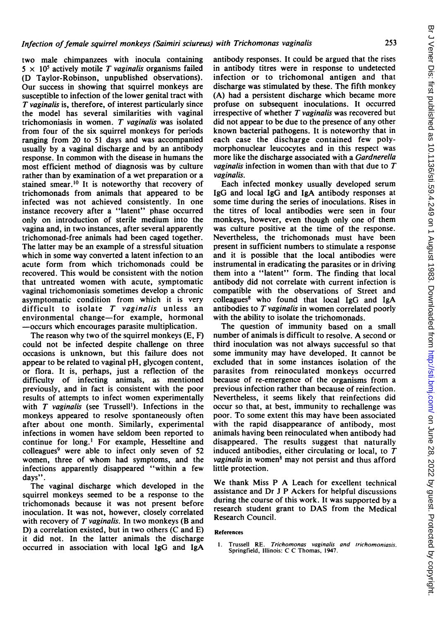two male chimpanzees with inocula containing  $5 \times 10^5$  actively motile T vaginalis organisms failed (D Taylor-Robinson, unpublished observations). Our success in showing that squirrel monkeys are susceptible to infection of the lower genital tract with T vaginalis is, therefore, of interest particularly since the model has several similarities with vaginal trichomoniasis in women. T vaginalis was isolated from four of the six squirrel monkeys for periods ranging from 20 to 51 days and was accompanied usually by a vaginal discharge and by an antibody response. In common with the disease in humans the most efficient method of diagnosis was by culture rather than by examination of a wet preparation or a stained smear.<sup>10</sup> It is noteworthy that recovery of trichomonads from animals that appeared to be infected was not achieved consistently. In one instance recovery after a "latent" phase occurred only on introduction of sterile medium into the vagina and, in two instances, after several apparently trichomonad-free animals had been caged together. The latter may be an example of a stressful situation which in some way converted a latent infection to an acute form from which trichomonads could be recovered. This would be consistent with the notion that untreated women with acute, symptomatic vaginal trichomoniasis sometimes develop a chronic asymptomatic condition from which it is very difficult to isolate  $T$  vaginalis unless an environmental change-for example, hormonal -occurs which encourages parasite multiplication.

The reason why two of the squirrel monkeys (E, F) could not be infected despite challenge on three occasions is unknown, but this failure does not appear to be related to vaginal pH, glycogen content, or flora. It is, perhaps, just a reflection of the difficulty of infecting animals, as mentioned previously, and in fact is consistent with the poor results of attempts to infect women experimentally with  $T$  vaginalis (see Trussell<sup>1</sup>). Infections in the monkeys appeared to resolve spontaneously often after about one month. Similarly, experimental infections in women have seldom been reported to continue for long.' For example, Hesseltine and colleagues<sup>9</sup> were able to infect only seven of 52 women, three of whom had symptoms, and the infections apparently disappeared "within a few days".

The vaginal discharge which developed in the squirrel monkeys seemed to be a response to the trichomonads because it was not present before inoculation. It was not, however, closely correlated with recovery of  $T$  vaginalis. In two monkeys (B and D) a correlation existed, but in two others (C and E) it did not. In the latter animals the discharge occurred in association with local IgG and IgA

antibody responses. It could be argued that the rises in antibody titres were in response to undetected infection or to trichomonal antigen and that discharge was stimulated by these. The fifth monkey (A) had a persistent discharge which became more profuse on subsequent inoculations. It occurred irrespective of whether  $T$  vaginalis was recovered but did not appear to be due to the presence of any other known bacterial pathogens. It is noteworthy that in each case the discharge contained few polymorphonuclear leucocytes and in this respect was more like the discharge associated with a Gardnerella *vaginalis* infection in women than with that due to  $T$ vaginalis.

Each infected monkey usually developed serum IgG and local IgG and IgA antibody responses at some time during the series of inoculations. Rises in the titres of local antibodies were seen in four monkeys, however, even though only one of them was culture positive at the time of the response. Nevertheless, the trichomonads must have been present in sufficient numbers to stimulate a response and it is possible that the local antibodies were instrumental in eradicating the parasites or in driving them into a "latent" form. The finding that local antibody did not correlate with current infection is compatible with the observations of Street and colleagues<sup>8</sup> who found that local IgG and IgA antibodies to T vaginalis in women correlated poorly with the ability to isolate the trichomonads.

The question of immunity based on a small number of animals is difficult to resolve. A second or third inoculation was not always successful so that some immunity may have developed. It cannot be excluded that in some instances isolation of the parasites from reinoculated monkeys occurred because of re-emergence of the organisms from a previous infection rather than because of reinfection. Nevertheless, it seems likely that reinfections did occur so that, at best, immunity to rechallenge was poor. To some extent this may have been associated with the rapid disappearance of antibody, most animals having been reinoculated when antibody had disappeared. The results suggest that naturally induced antibodies, either circulating or local, to  $T$  $vaginalis$  in women<sup>8</sup> may not persist and thus afford little protection.

We thank Miss P A Leach for excellent technical assistance and Dr <sup>J</sup> P Ackers for helpful discussions during the course of this work. It was supported by a research student grant to DAS from the Medical Research Council.

#### References

Trussell RE. Trichomonas vaginalis and trichomoniasis. Springfield, Illinois: C C Thomas, 1947.